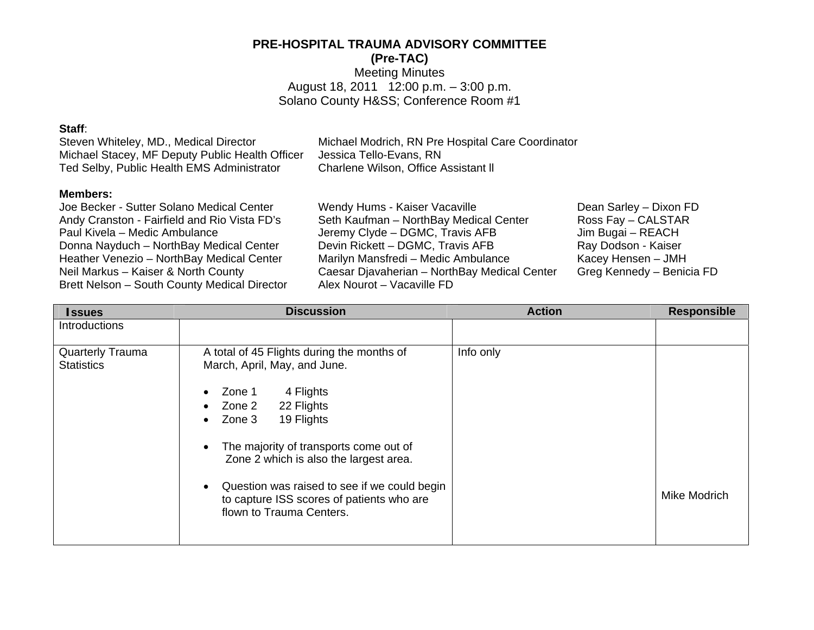# **PRE-HOSPITAL TRAUMA ADVISORY COMMITTEE**

**(Pre-TAC)** 

Meeting Minutes August 18, 2011 12:00 p.m. – 3:00 p.m. Solano County H&SS; Conference Room #1

#### **Staff**:

Steven Whiteley, MD., Medical Director Michael Modrich, RN Pre Hospital Care Coordinator Michael Stacey, MF Deputy Public Health Officer Jessica Tello-Evans, RN Ted Selby, Public Health EMS Administrator Charlene Wilson, Office Assistant ll

### **Members:**

Brett Nelson – South County Medical Director Alex Nourot – Vacaville FD

Joe Becker - Sutter Solano Medical Center Wendy Hums - Kaiser Vacaville Dean Sarley – Dixon FD Andy Cranston - Fairfield and Rio Vista FD's Seth Kaufman – NorthBay Medical Center Ross Fay – CALSTAR Paul Kivela – Medic Ambulance Jeremy Clyde – DGMC, Travis AFB Jim Bugai – REACH Donna Nayduch – NorthBay Medical Center Devin Rickett – DGMC, Travis AFB Donna Nayduch – NorthBay Medical Center Devin Rickett – DGMC, Travis AFB Ray Dodson - Kaiser Heather Venezio – NorthBay Medical Center Marilyn Mansfredi – Medic Ambulance Kacey Hensen – JMH Neil Markus – Kaiser & North County Caesar Djavaherian – NorthBay Medical Center Greg Kennedy – Benicia FD

| <b>Issues</b>                                | <b>Discussion</b>                                                                                                                                                                                                                                                                                                                                                                                                               | <b>Action</b> | <b>Responsible</b> |
|----------------------------------------------|---------------------------------------------------------------------------------------------------------------------------------------------------------------------------------------------------------------------------------------------------------------------------------------------------------------------------------------------------------------------------------------------------------------------------------|---------------|--------------------|
| Introductions                                |                                                                                                                                                                                                                                                                                                                                                                                                                                 |               |                    |
| <b>Quarterly Trauma</b><br><b>Statistics</b> | A total of 45 Flights during the months of<br>March, April, May, and June.<br>4 Flights<br>Zone 1<br>$\bullet$<br>Zone 2<br>22 Flights<br>$\bullet$<br>19 Flights<br>Zone 3<br>$\bullet$<br>The majority of transports come out of<br>$\bullet$<br>Zone 2 which is also the largest area.<br>Question was raised to see if we could begin<br>$\bullet$<br>to capture ISS scores of patients who are<br>flown to Trauma Centers. | Info only     | Mike Modrich       |